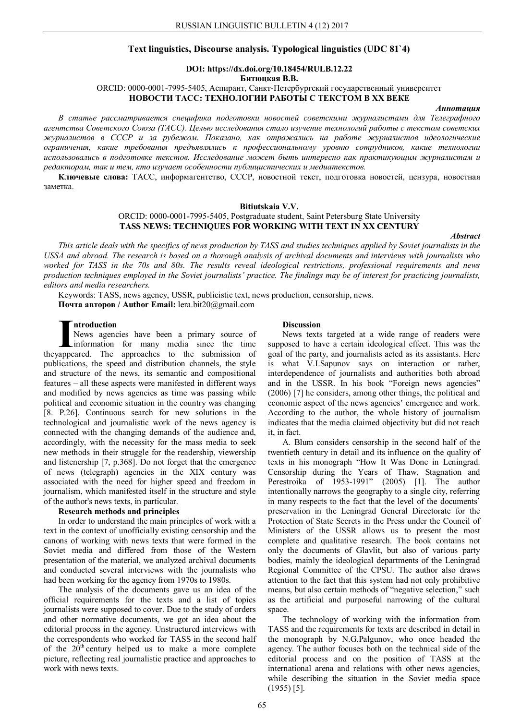# **Text linguistics, Discourse analysis. Typological linguistics (UDC 81`4)**

## **DOI: https://dx.doi.org/10.18454/RULB.12.22 Битюцкая В.В.** ORCID: 0000-0001-7995-5405, Аспирант, Санкт-Петербургский государственный университет **НОВОСТИ ТАСС: ТЕХНОЛОГИИ РАБОТЫ С ТЕКСТОМ В XX ВЕКЕ**

### *Аннотация*

*В статье рассматривается специфика подготовки новостей советскими журналистами для Телеграфного агентства Советского Союза (ТАСС). Целью исследования стало изучение технологий работы с текстом советских журналистов в СССР и за рубежом. Показано, как отражались на работе журналистов идеологические ограничения, какие требования предъявлялись к профессиональному уровню сотрудников, какие технологии использовались в подготовке текстов. Исследование может быть интересно как практикующим журналистам и редакторам, так и тем, кто изучает особенности публицистических и медиатекстов.* 

**Ключевые слова:** ТАСС, информагентство, СССР, новостной текст, подготовка новостей, цензура, новостная заметка.

#### **Bitiutskaia V.V.**

# ORCID: 0000-0001-7995-5405, Postgraduate student, Saint Petersburg State University **TASS NEWS: TECHNIQUES FOR WORKING WITH TEXT IN XX CENTURY**

# *Abstract*

*This article deals with the specifics of news production by TASS and studies techniques applied by Soviet journalists in the USSA and abroad. The research is based on a thorough analysis of archival documents and interviews with journalists who worked for TASS in the 70s and 80s. The results reveal ideological restrictions, professional requirements and news production techniques employed in the Soviet journalists' practice. The findings may be of interest for practicing journalists, editors and media researchers.*

Keywords: TASS, news agency, USSR, publicistic text, news production, censorship, news. **Почта авторов / Author Email:** lera.bit20@gmail.com

**ntroduction**

News agencies have been a primary source of information for many media since the time **Introduction**<br>News agencies have been a primary source of<br>information for many media since the time<br>theyappeared. The approaches to the submission of publications, the speed and distribution channels, the style and structure of the news, its semantic and compositional features – all these aspects were manifested in different ways and modified by news agencies as time was passing while political and economic situation in the country was changing [8. P.26]. Continuous search for new solutions in the technological and journalistic work of the news agency is connected with the changing demands of the audience and, accordingly, with the necessity for the mass media to seek new methods in their struggle for the readership, viewership and listenership [7, p.368]. Do not forget that the emergence of news (telegraph) agencies in the XIX century was associated with the need for higher speed and freedom in journalism, which manifested itself in the structure and style of the author's news texts, in particular.

## **Research methods and principles**

In order to understand the main principles of work with a text in the context of unofficially existing censorship and the canons of working with news texts that were formed in the Soviet media and differed from those of the Western presentation of the material, we analyzed archival documents and conducted several interviews with the journalists who had been working for the agency from 1970s to 1980s.

The analysis of the documents gave us an idea of the official requirements for the texts and a list of topics journalists were supposed to cover. Due to the study of orders and other normative documents, we got an idea about the editorial process in the agency. Unstructured interviews with the correspondents who worked for TASS in the second half of the  $20<sup>th</sup>$  century helped us to make a more complete picture, reflecting real journalistic practice and approaches to work with news texts.

### **Discussion**

News texts targeted at a wide range of readers were supposed to have a certain ideological effect. This was the goal of the party, and journalists acted as its assistants. Here is what V.I.Sapunov says on interaction or rather, interdependence of journalists and authorities both abroad and in the USSR. In his book "Foreign news agencies" (2006) [7] he considers, among other things, the political and economic aspect of the news agencies' emergence and work. According to the author, the whole history of journalism indicates that the media claimed objectivity but did not reach it, in fact.

A. Blum considers censorship in the second half of the twentieth century in detail and its influence on the quality of texts in his monograph "How It Was Done in Leningrad. Censorship during the Years of Thaw, Stagnation and Perestroika of 1953-1991" (2005) [1]. The author intentionally narrows the geography to a single city, referring in many respects to the fact that the level of the documents' preservation in the Leningrad General Directorate for the Protection of State Secrets in the Press under the Council of Ministers of the USSR allows us to present the most complete and qualitative research. The book contains not only the documents of Glavlit, but also of various party bodies, mainly the ideological departments of the Leningrad Regional Committee of the CPSU. The author also draws attention to the fact that this system had not only prohibitive means, but also certain methods of "negative selection," such as the artificial and purposeful narrowing of the cultural space.

The technology of working with the information from TASS and the requirements for texts are described in detail in the monograph by N.G.Palgunov, who once headed the agency. The author focuses both on the technical side of the editorial process and on the position of TASS at the international arena and relations with other news agencies, while describing the situation in the Soviet media space (1955) [5].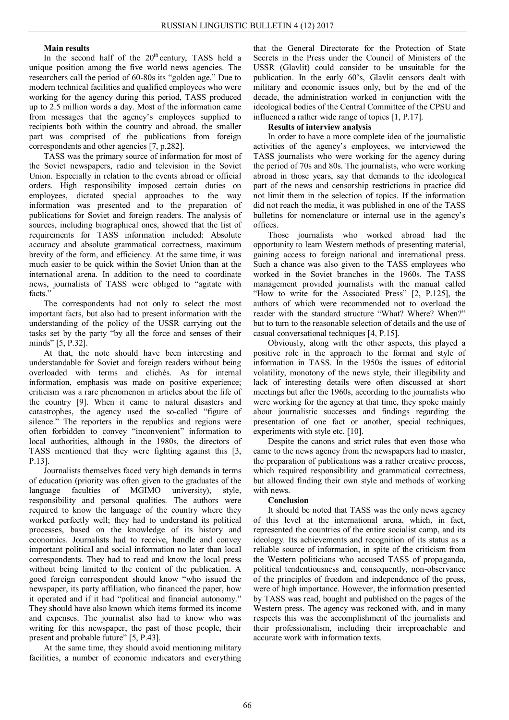# **Main results**

In the second half of the  $20<sup>th</sup>$  century, TASS held a unique position among the five world news agencies. The researchers call the period of 60-80s its "golden age." Due to modern technical facilities and qualified employees who were working for the agency during this period, TASS produced up to 2.5 million words a day. Most of the information came from messages that the agency's employees supplied to recipients both within the country and abroad, the smaller part was comprised of the publications from foreign correspondents and other agencies [7, p.282].

TASS was the primary source of information for most of the Soviet newspapers, radio and television in the Soviet Union. Especially in relation to the events abroad or official orders. High responsibility imposed certain duties on employees, dictated special approaches to the way information was presented and to the preparation of publications for Soviet and foreign readers. The analysis of sources, including biographical ones, showed that the list of requirements for TASS information included: Absolute accuracy and absolute grammatical correctness, maximum brevity of the form, and efficiency. At the same time, it was much easier to be quick within the Soviet Union than at the international arena. In addition to the need to coordinate news, journalists of TASS were obliged to "agitate with facts.'

The correspondents had not only to select the most important facts, but also had to present information with the understanding of the policy of the USSR carrying out the tasks set by the party "by all the force and senses of their minds" [5, P.32].

At that, the note should have been interesting and understandable for Soviet and foreign readers without being overloaded with terms and clichés. As for internal information, emphasis was made on positive experience; criticism was a rare phenomenon in articles about the life of the country [9]. When it came to natural disasters and catastrophes, the agency used the so-called "figure of silence." The reporters in the republics and regions were often forbidden to convey "inconvenient" information to local authorities, although in the 1980s, the directors of TASS mentioned that they were fighting against this [3, P.13].

Journalists themselves faced very high demands in terms of education (priority was often given to the graduates of the language faculties of MGIMO university), style, responsibility and personal qualities. The authors were required to know the language of the country where they worked perfectly well; they had to understand its political processes, based on the knowledge of its history and economics. Journalists had to receive, handle and convey important political and social information no later than local correspondents. They had to read and know the local press without being limited to the content of the publication. A good foreign correspondent should know "who issued the newspaper, its party affiliation, who financed the paper, how it operated and if it had "political and financial autonomy." They should have also known which items formed its income and expenses. The journalist also had to know who was writing for this newspaper, the past of those people, their present and probable future" [5, P.43].

At the same time, they should avoid mentioning military facilities, a number of economic indicators and everything

that the General Directorate for the Protection of State Secrets in the Press under the Council of Ministers of the USSR (Glavlit) could consider to be unsuitable for the publication. In the early 60's, Glavlit censors dealt with military and economic issues only, but by the end of the decade, the administration worked in conjunction with the ideological bodies of the Central Committee of the CPSU and influenced a rather wide range of topics [1, P.17].

# **Results of interview analysis**

In order to have a more complete idea of the journalistic activities of the agency's employees, we interviewed the TASS journalists who were working for the agency during the period of 70s and 80s. The journalists, who were working abroad in those years, say that demands to the ideological part of the news and censorship restrictions in practice did not limit them in the selection of topics. If the information did not reach the media, it was published in one of the TASS bulletins for nomenclature or internal use in the agency's offices.

Those journalists who worked abroad had the opportunity to learn Western methods of presenting material, gaining access to foreign national and international press. Such a chance was also given to the TASS employees who worked in the Soviet branches in the 1960s. The TASS management provided journalists with the manual called "How to write for the Associated Press" [2, P.125], the authors of which were recommended not to overload the reader with the standard structure "What? Where? When?" but to turn to the reasonable selection of details and the use of casual conversational techniques [4, P.15].

Obviously, along with the other aspects, this played a positive role in the approach to the format and style of information in TASS. In the 1950s the issues of editorial volatility, monotony of the news style, their illegibility and lack of interesting details were often discussed at short meetings but after the 1960s, according to the journalists who were working for the agency at that time, they spoke mainly about journalistic successes and findings regarding the presentation of one fact or another, special techniques, experiments with style etc. [10].

Despite the canons and strict rules that even those who came to the news agency from the newspapers had to master, the preparation of publications was a rather creative process, which required responsibility and grammatical correctness, but allowed finding their own style and methods of working with news.

# **Conclusion**

It should be noted that TASS was the only news agency of this level at the international arena, which, in fact, represented the countries of the entire socialist camp, and its ideology. Its achievements and recognition of its status as a reliable source of information, in spite of the criticism from the Western politicians who accused TASS of propaganda, political tendentiousness and, consequently, non-observance of the principles of freedom and independence of the press, were of high importance. However, the information presented by TASS was read, bought and published on the pages of the Western press. The agency was reckoned with, and in many respects this was the accomplishment of the journalists and their professionalism, including their irreproachable and accurate work with information texts.